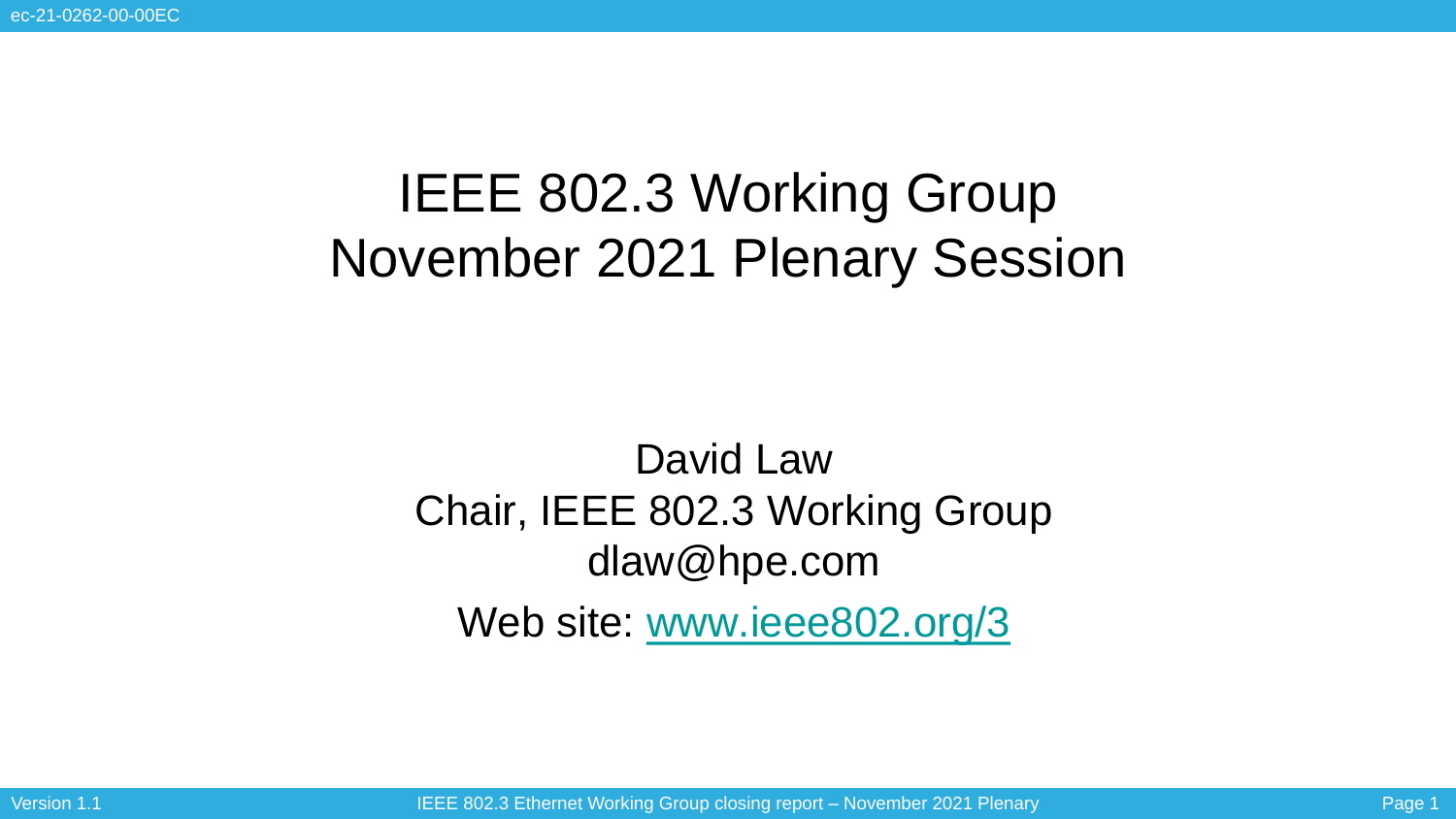# IEEE 802.3 Working Group November 2021 Plenary Session

### David Law Chair, IEEE 802.3 Working Group dlaw@hpe.com Web site: [www.ieee802.org/3](http://www.ieee802.org/3)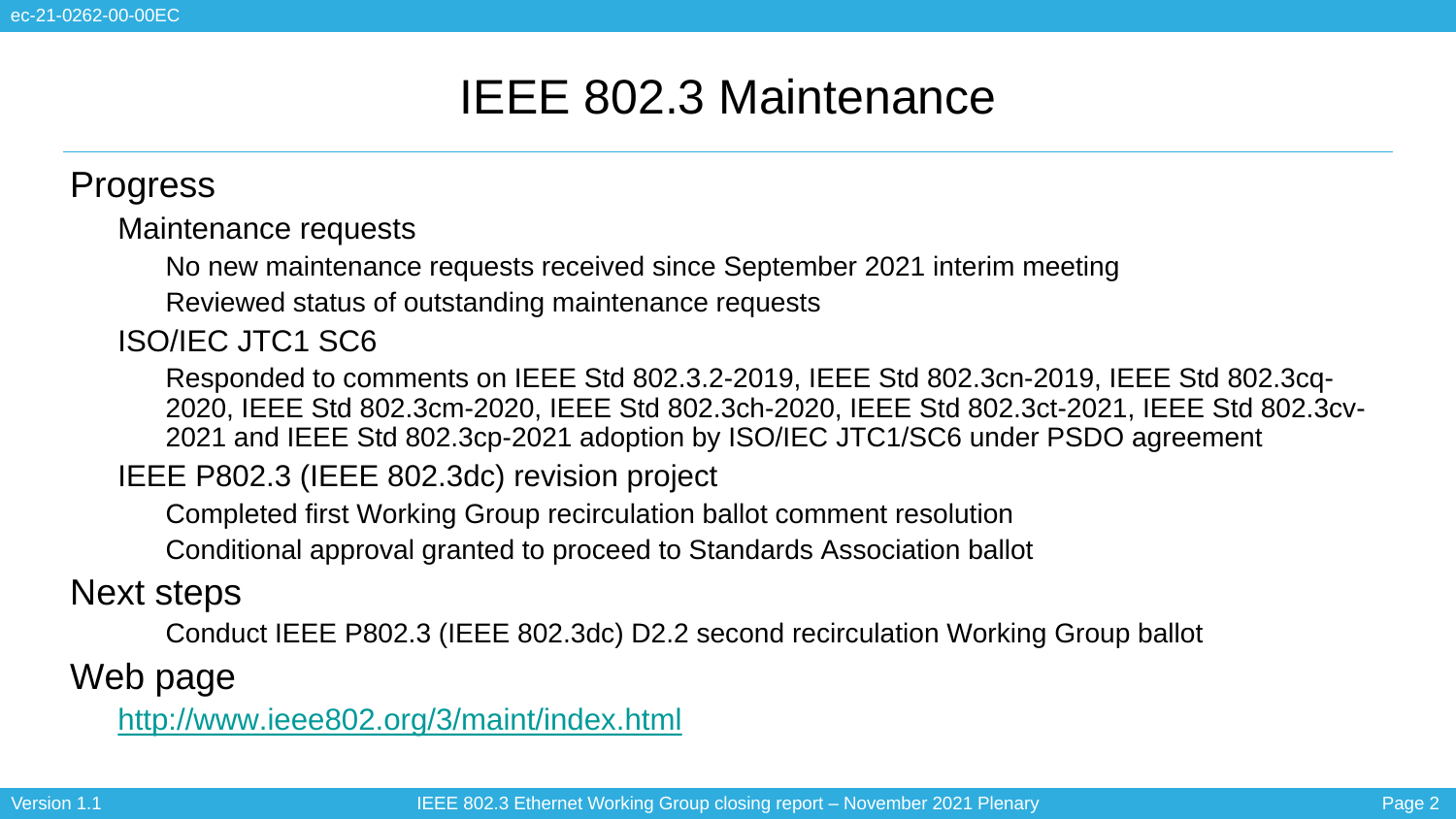### IEEE 802.3 Maintenance

#### **Progress**

Maintenance requests

• No new maintenance requests received since September 2021 interim meeting

Reviewed status of outstanding maintenance requests

• ISO/IEC JTC1 SC6

• Responded to comments on IEEE Std 802.3.2-2019, IEEE Std 802.3cn-2019, IEEE Std 802.3cq-2020, IEEE Std 802.3cm-2020, IEEE Std 802.3ch-2020, IEEE Std 802.3ct-2021, IEEE Std 802.3cv-2021 and IEEE Std 802.3cp-2021 adoption by ISO/IEC JTC1/SC6 under PSDO agreement

IEEE P802.3 (IEEE 802.3dc) revision project

• Completed first Working Group recirculation ballot comment resolution

• Conditional approval granted to proceed to Standards Association ballot

### Next steps

• Conduct IEEE P802.3 (IEEE 802.3dc) D2.2 second recirculation Working Group ballot

Web page

• <http://www.ieee802.org/3/maint/index.html>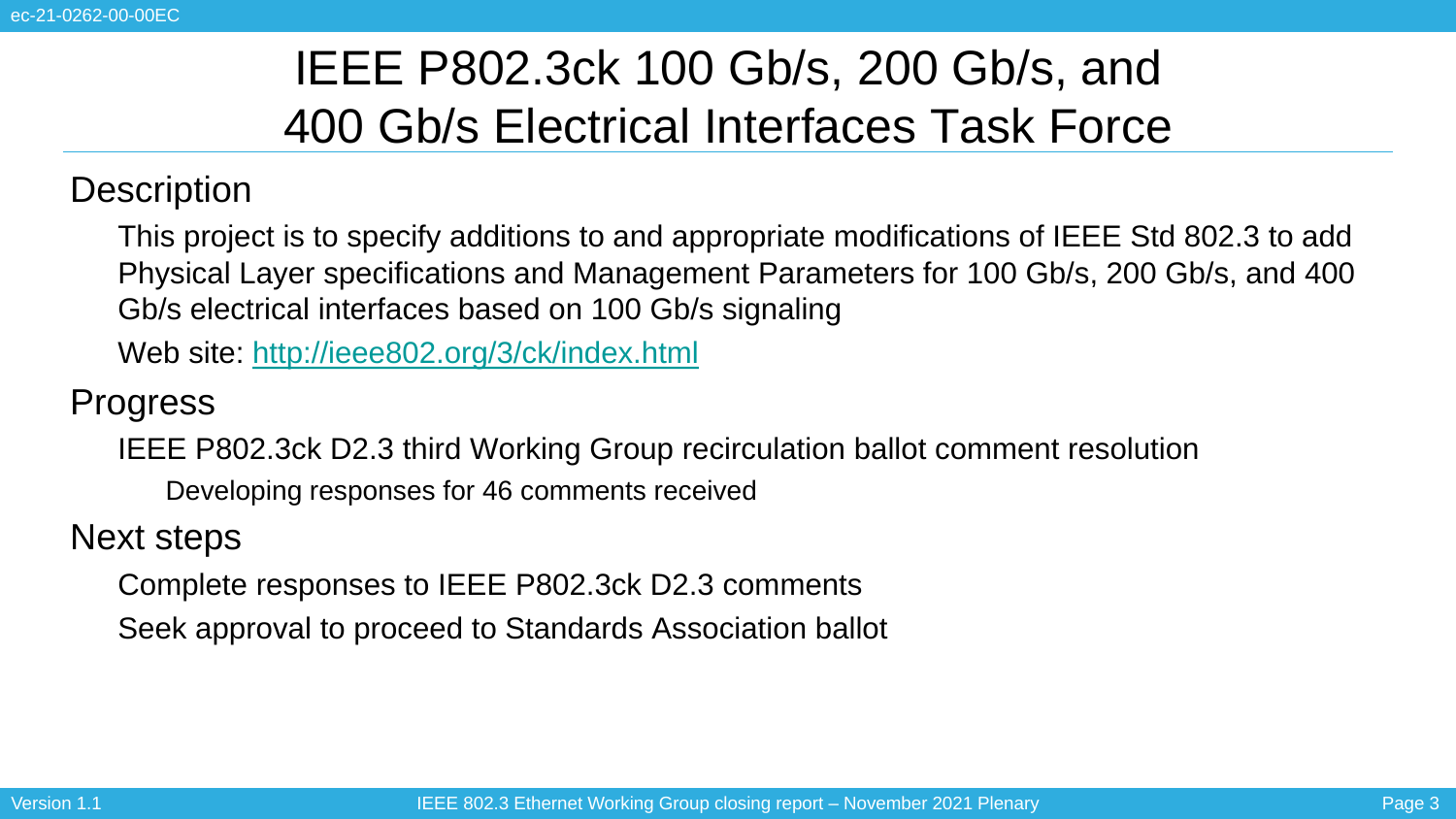# IEEE P802.3ck 100 Gb/s, 200 Gb/s, and 400 Gb/s Electrical Interfaces Task Force

#### **Description**

• This project is to specify additions to and appropriate modifications of IEEE Std 802.3 to add Physical Layer specifications and Management Parameters for 100 Gb/s, 200 Gb/s, and 400 Gb/s electrical interfaces based on 100 Gb/s signaling

• Web site:<http://ieee802.org/3/ck/index.html>

**Progress** 

IEEE P802.3ck D2.3 third Working Group recirculation ballot comment resolution

• Developing responses for 46 comments received

Next steps

• Complete responses to IEEE P802.3ck D2.3 comments

• Seek approval to proceed to Standards Association ballot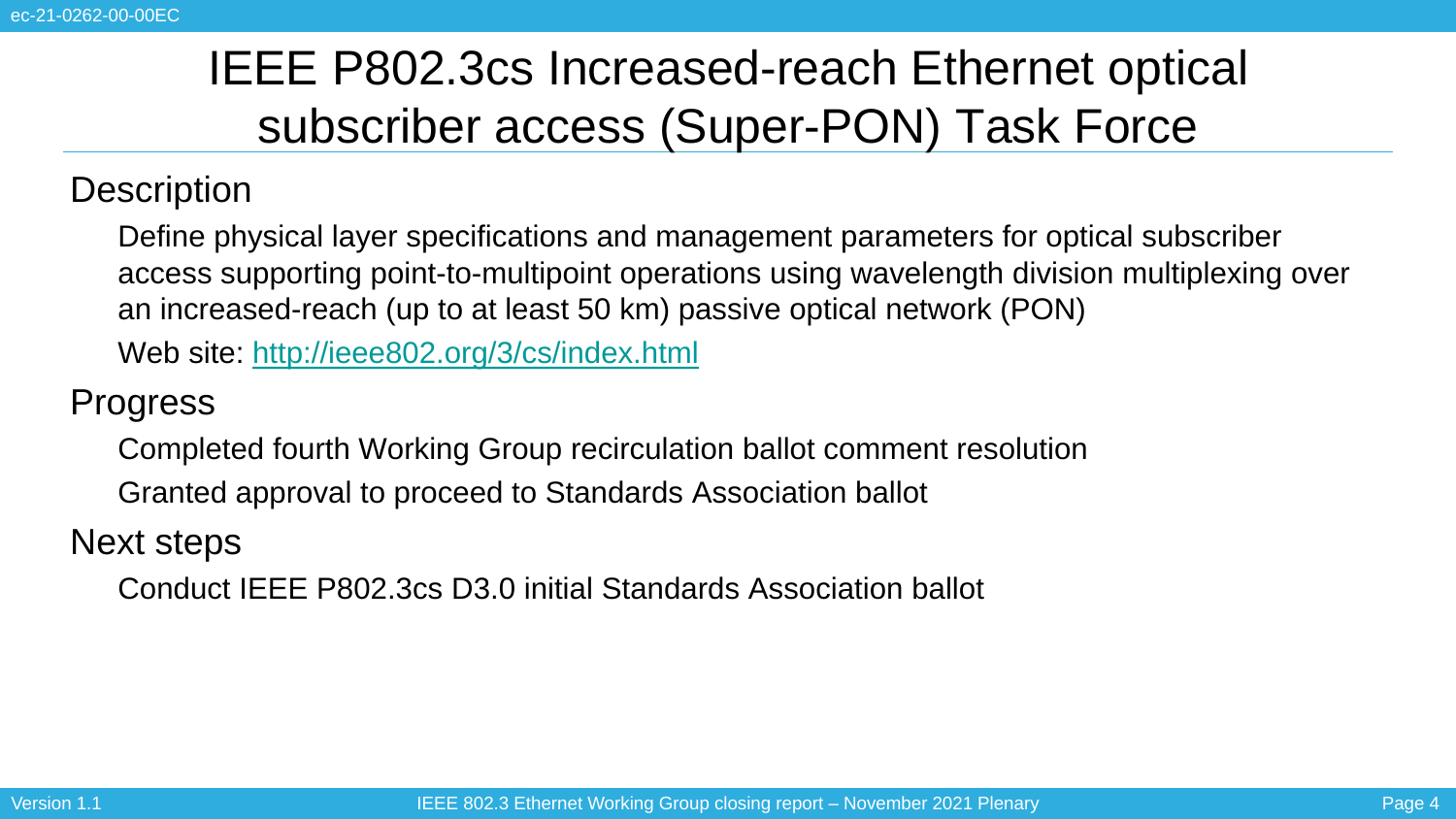# IEEE P802.3cs Increased-reach Ethernet optical subscriber access (Super-PON) Task Force

### **Description**

• Define physical layer specifications and management parameters for optical subscriber access supporting point-to-multipoint operations using wavelength division multiplexing over an increased-reach (up to at least 50 km) passive optical network (PON)

• Web site:<http://ieee802.org/3/cs/index.html>

**Progress** 

• Completed fourth Working Group recirculation ballot comment resolution

• Granted approval to proceed to Standards Association ballot

Next steps

• Conduct IEEE P802.3cs D3.0 initial Standards Association ballot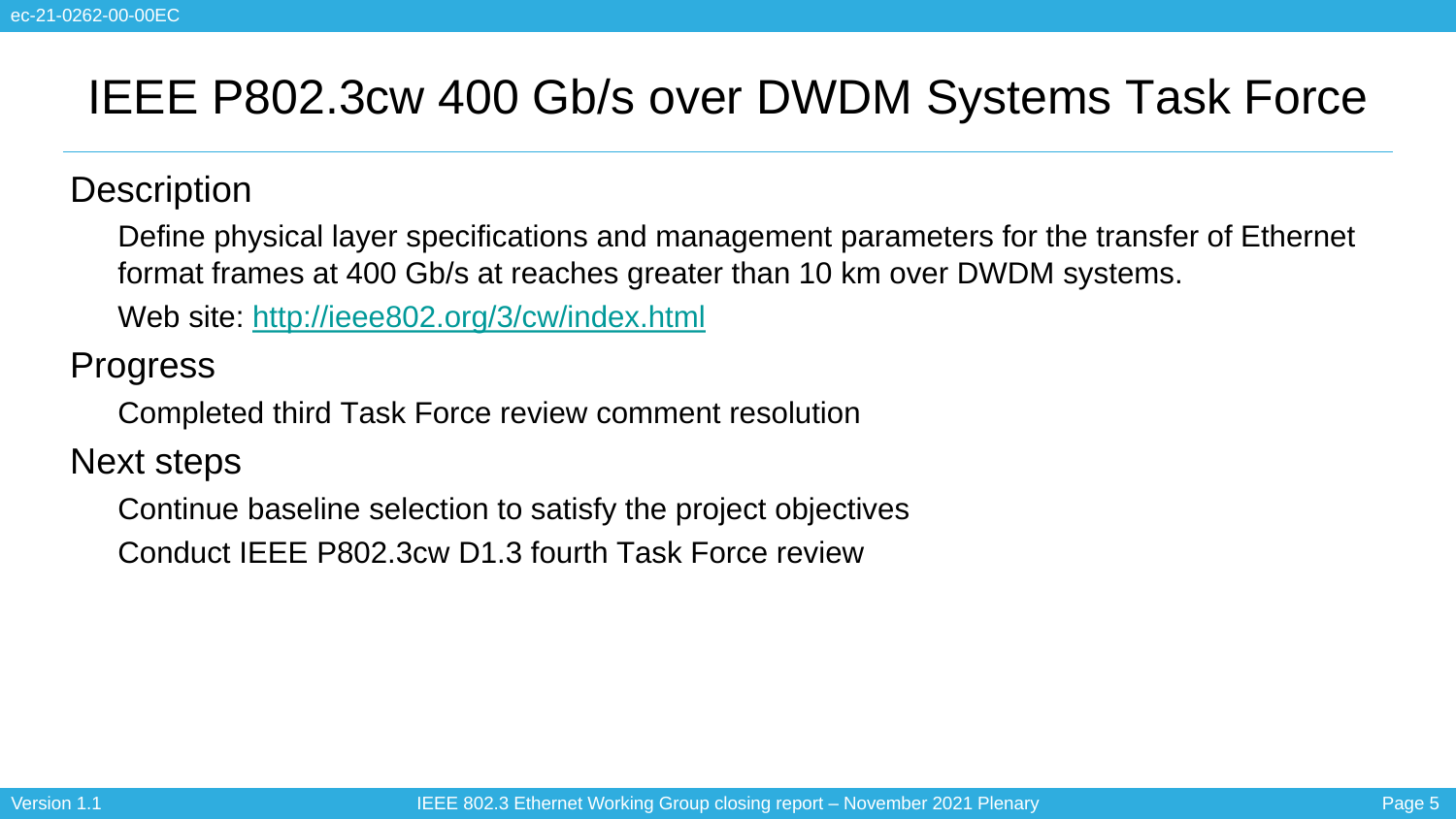### IEEE P802.3cw 400 Gb/s over DWDM Systems Task Force

#### **Description**

• Define physical layer specifications and management parameters for the transfer of Ethernet format frames at 400 Gb/s at reaches greater than 10 km over DWDM systems.

• Web site:<http://ieee802.org/3/cw/index.html>

**Progress** 

• Completed third Task Force review comment resolution

Next steps

• Continue baseline selection to satisfy the project objectives

• Conduct IEEE P802.3cw D1.3 fourth Task Force review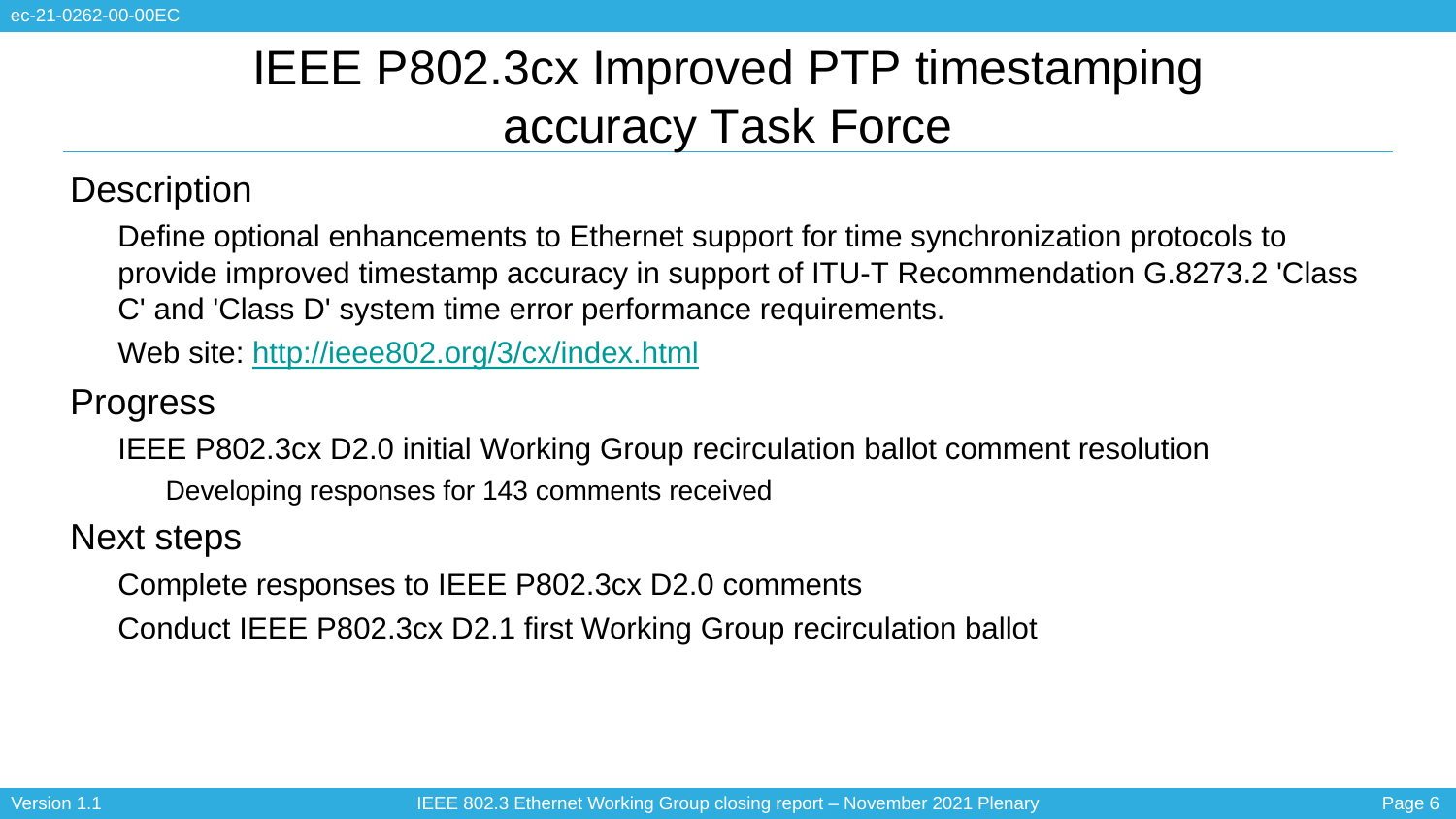# IEEE P802.3cx Improved PTP timestamping accuracy Task Force

#### **Description**

• Define optional enhancements to Ethernet support for time synchronization protocols to provide improved timestamp accuracy in support of ITU-T Recommendation G.8273.2 'Class C' and 'Class D' system time error performance requirements.

• Web site:<http://ieee802.org/3/cx/index.html>

**Progress** 

• IEEE P802.3cx D2.0 initial Working Group recirculation ballot comment resolution

• Developing responses for 143 comments received

Next steps

• Complete responses to IEEE P802.3cx D2.0 comments

• Conduct IEEE P802.3cx D2.1 first Working Group recirculation ballot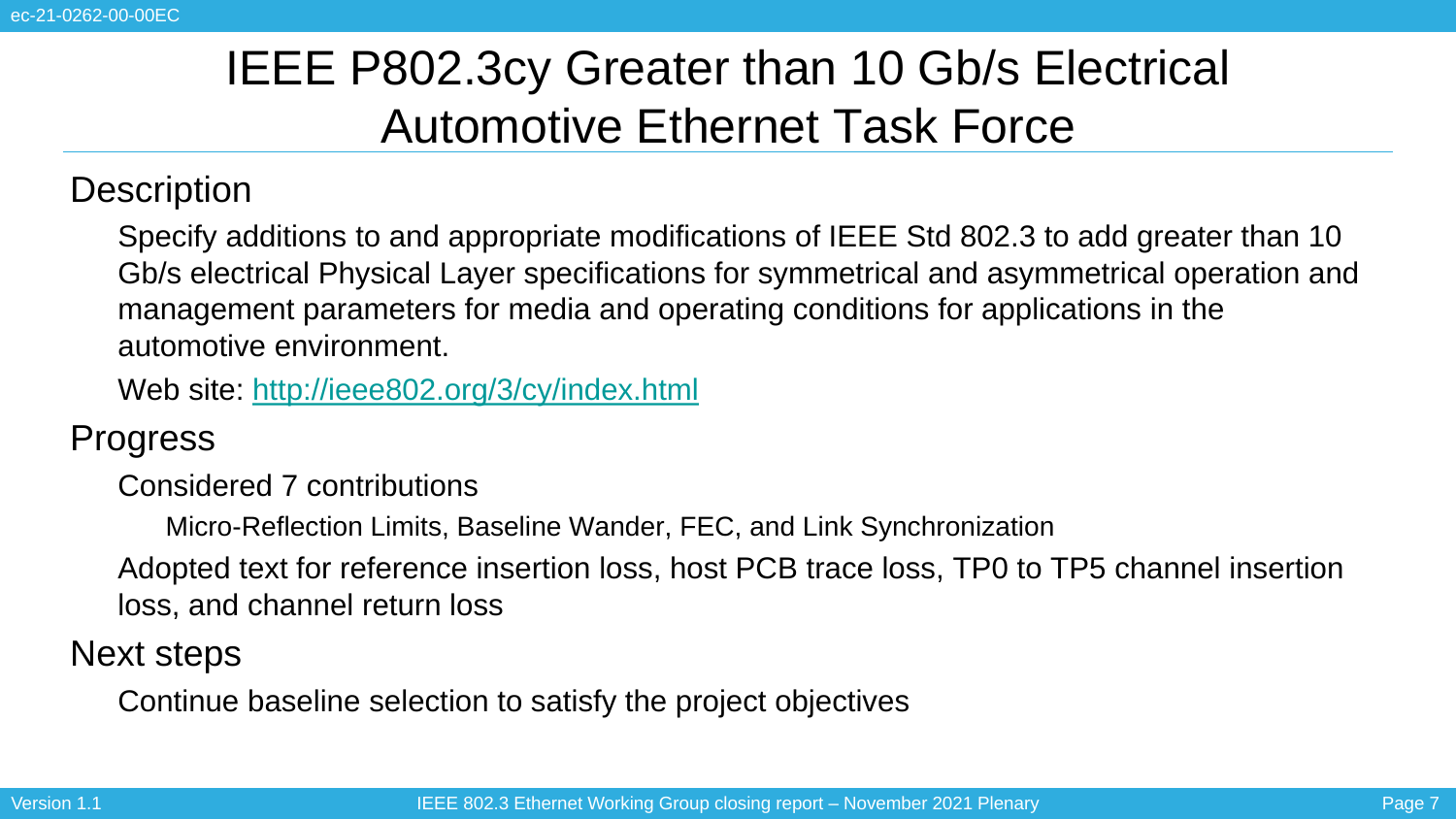# IEEE P802.3cy Greater than 10 Gb/s Electrical Automotive Ethernet Task Force

**Description** 

• Specify additions to and appropriate modifications of IEEE Std 802.3 to add greater than 10 Gb/s electrical Physical Layer specifications for symmetrical and asymmetrical operation and management parameters for media and operating conditions for applications in the automotive environment.

• Web site:<http://ieee802.org/3/cy/index.html>

**Progress** 

• Considered 7 contributions

• Micro-Reflection Limits, Baseline Wander, FEC, and Link Synchronization

• Adopted text for reference insertion loss, host PCB trace loss, TP0 to TP5 channel insertion loss, and channel return loss

Next steps

• Continue baseline selection to satisfy the project objectives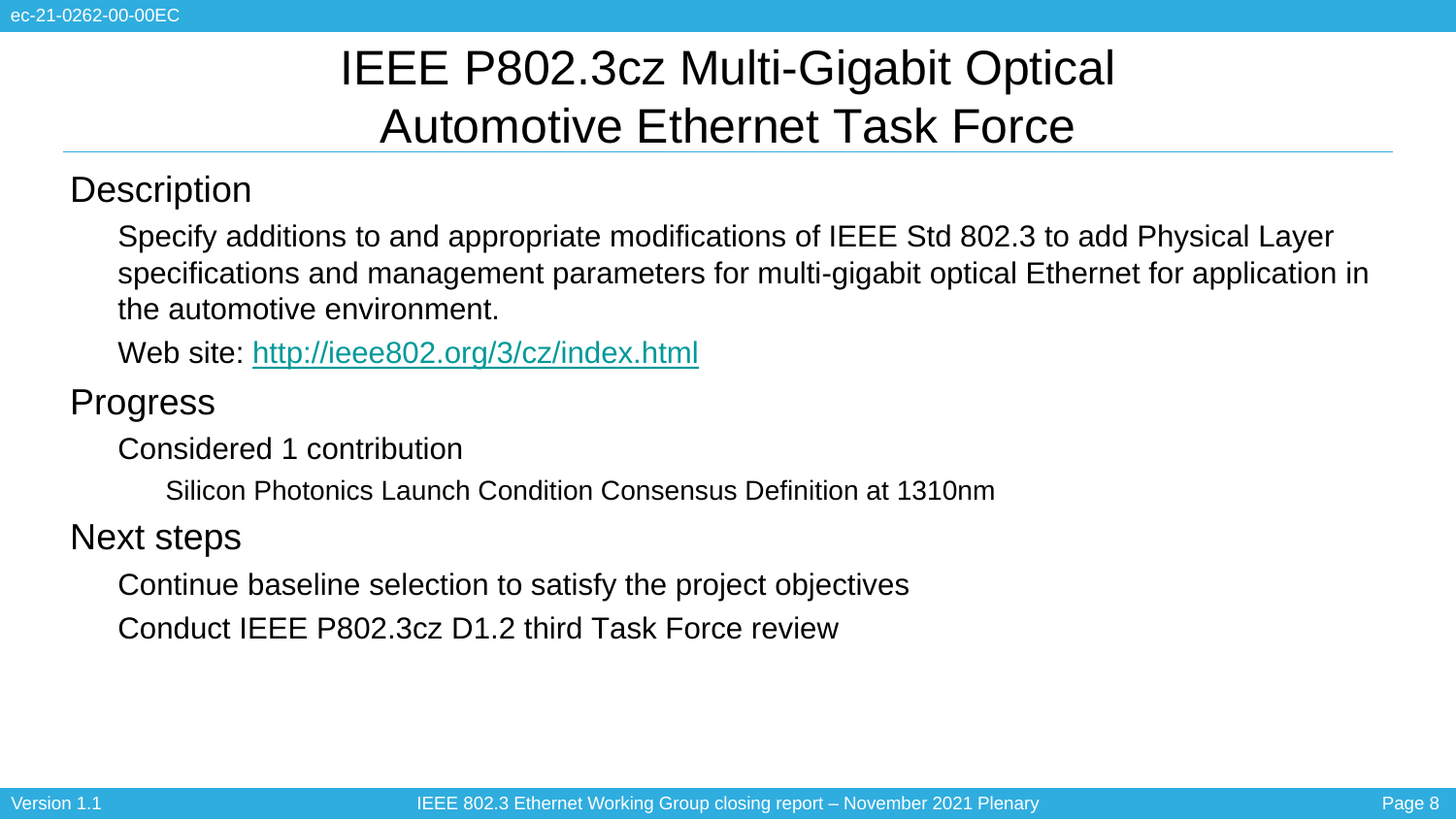# IEEE P802.3cz Multi-Gigabit Optical Automotive Ethernet Task Force

### **Description**

• Specify additions to and appropriate modifications of IEEE Std 802.3 to add Physical Layer specifications and management parameters for multi-gigabit optical Ethernet for application in the automotive environment.

• Web site:<http://ieee802.org/3/cz/index.html>

**Progress** 

• Considered 1 contribution

• Silicon Photonics Launch Condition Consensus Definition at 1310nm

Next steps

• Continue baseline selection to satisfy the project objectives

• Conduct IEEE P802.3cz D1.2 third Task Force review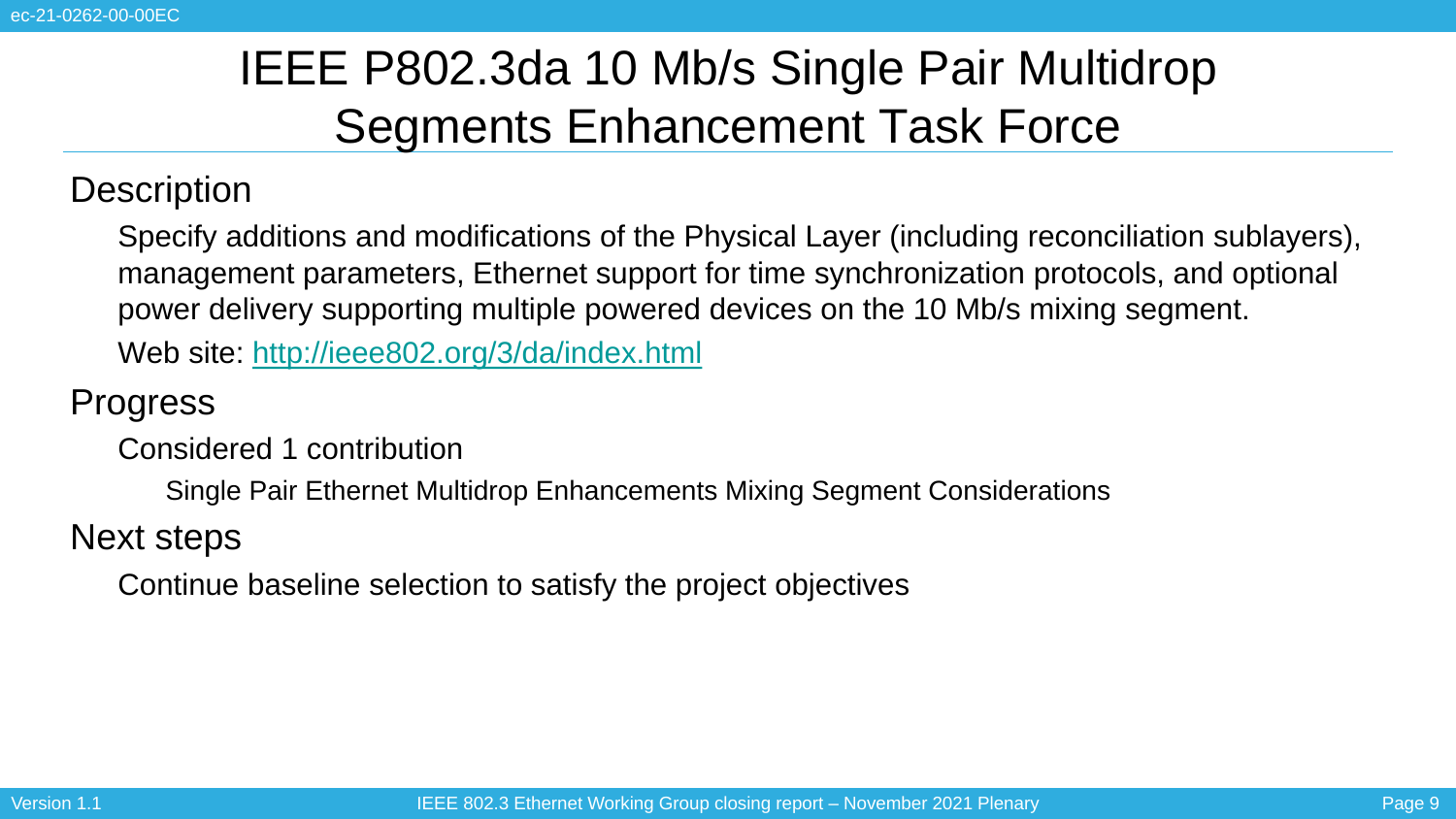# IEEE P802.3da 10 Mb/s Single Pair Multidrop Segments Enhancement Task Force

#### **Description**

• Specify additions and modifications of the Physical Layer (including reconciliation sublayers), management parameters, Ethernet support for time synchronization protocols, and optional power delivery supporting multiple powered devices on the 10 Mb/s mixing segment.

• Web site:<http://ieee802.org/3/da/index.html>

**Progress** 

• Considered 1 contribution

• Single Pair Ethernet Multidrop Enhancements Mixing Segment Considerations

Next steps

• Continue baseline selection to satisfy the project objectives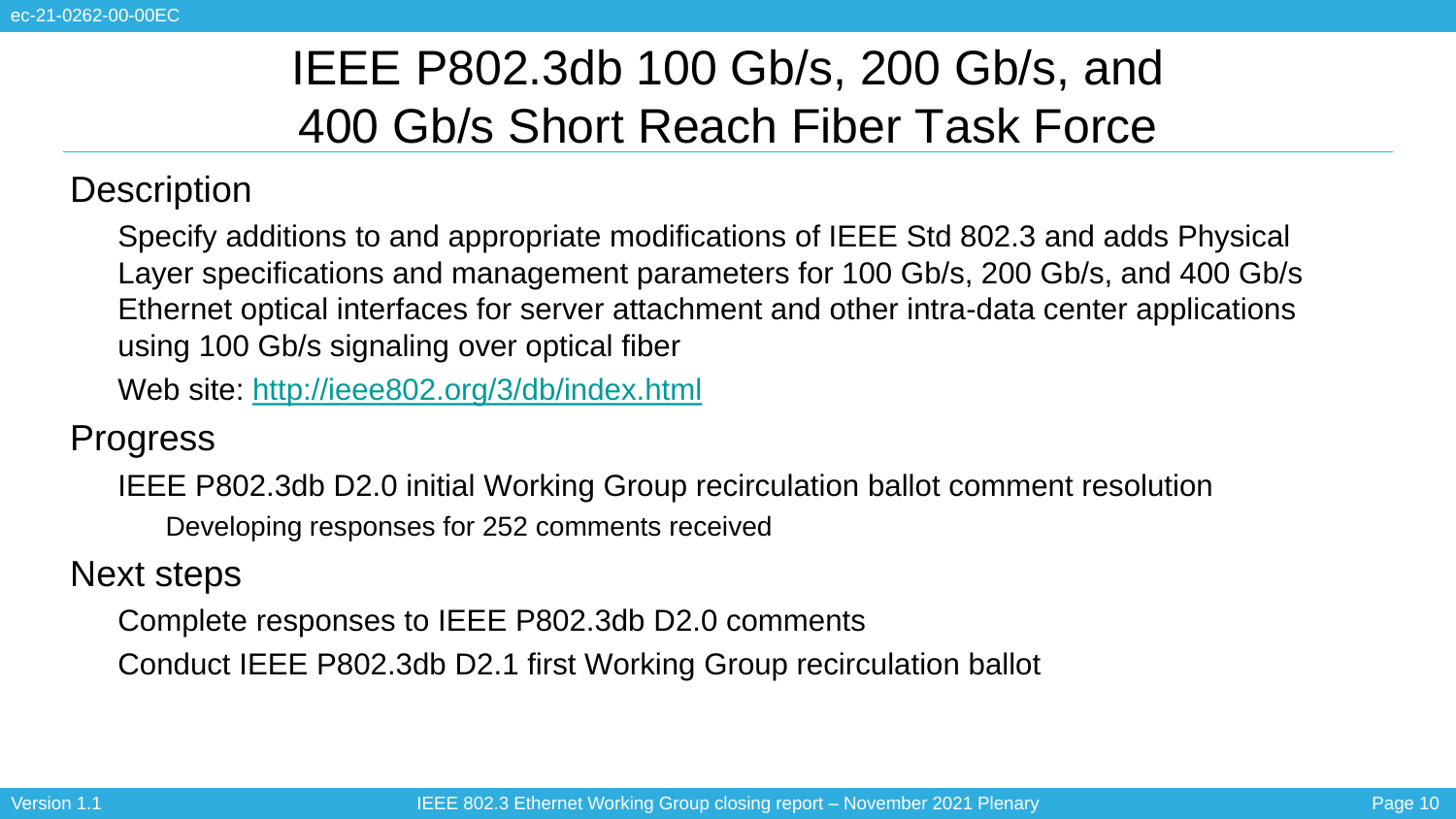# IEEE P802.3db 100 Gb/s, 200 Gb/s, and 400 Gb/s Short Reach Fiber Task Force

### **Description**

• Specify additions to and appropriate modifications of IEEE Std 802.3 and adds Physical Layer specifications and management parameters for 100 Gb/s, 200 Gb/s, and 400 Gb/s Ethernet optical interfaces for server attachment and other intra-data center applications using 100 Gb/s signaling over optical fiber

• Web site:<http://ieee802.org/3/db/index.html>

**Progress** 

IEEE P802.3db D2.0 initial Working Group recirculation ballot comment resolution • Developing responses for 252 comments received

Next steps

• Complete responses to IEEE P802.3db D2.0 comments

• Conduct IEEE P802.3db D2.1 first Working Group recirculation ballot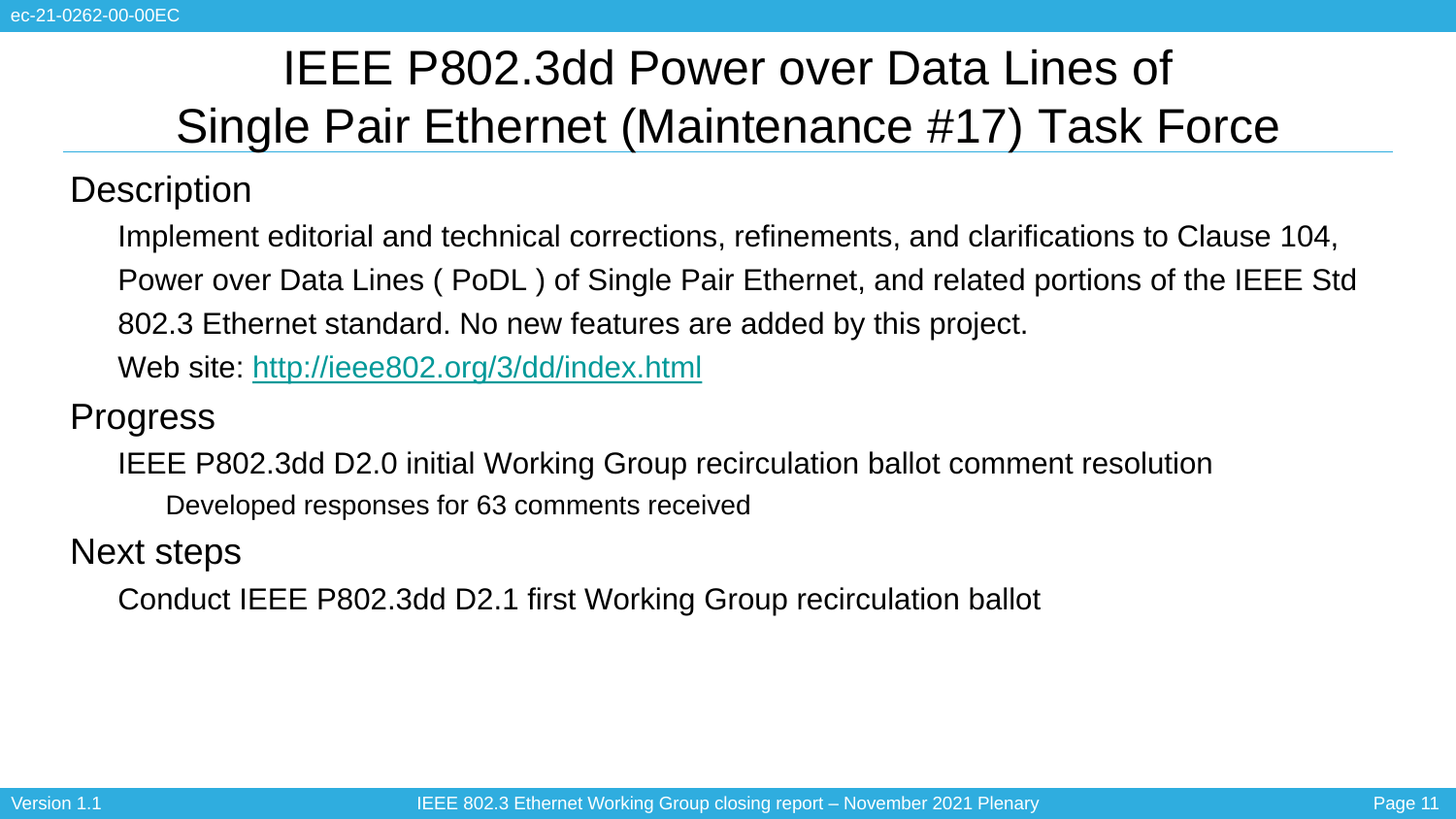# IEEE P802.3dd Power over Data Lines of Single Pair Ethernet (Maintenance #17) Task Force

### **Description**

• Implement editorial and technical corrections, refinements, and clarifications to Clause 104, • Power over Data Lines ( PoDL ) of Single Pair Ethernet, and related portions of the IEEE Std • 802.3 Ethernet standard. No new features are added by this project.

• Web site:<http://ieee802.org/3/dd/index.html>

### **Progress**

• IEEE P802.3dd D2.0 initial Working Group recirculation ballot comment resolution • Developed responses for 63 comments received

Next steps

• Conduct IEEE P802.3dd D2.1 first Working Group recirculation ballot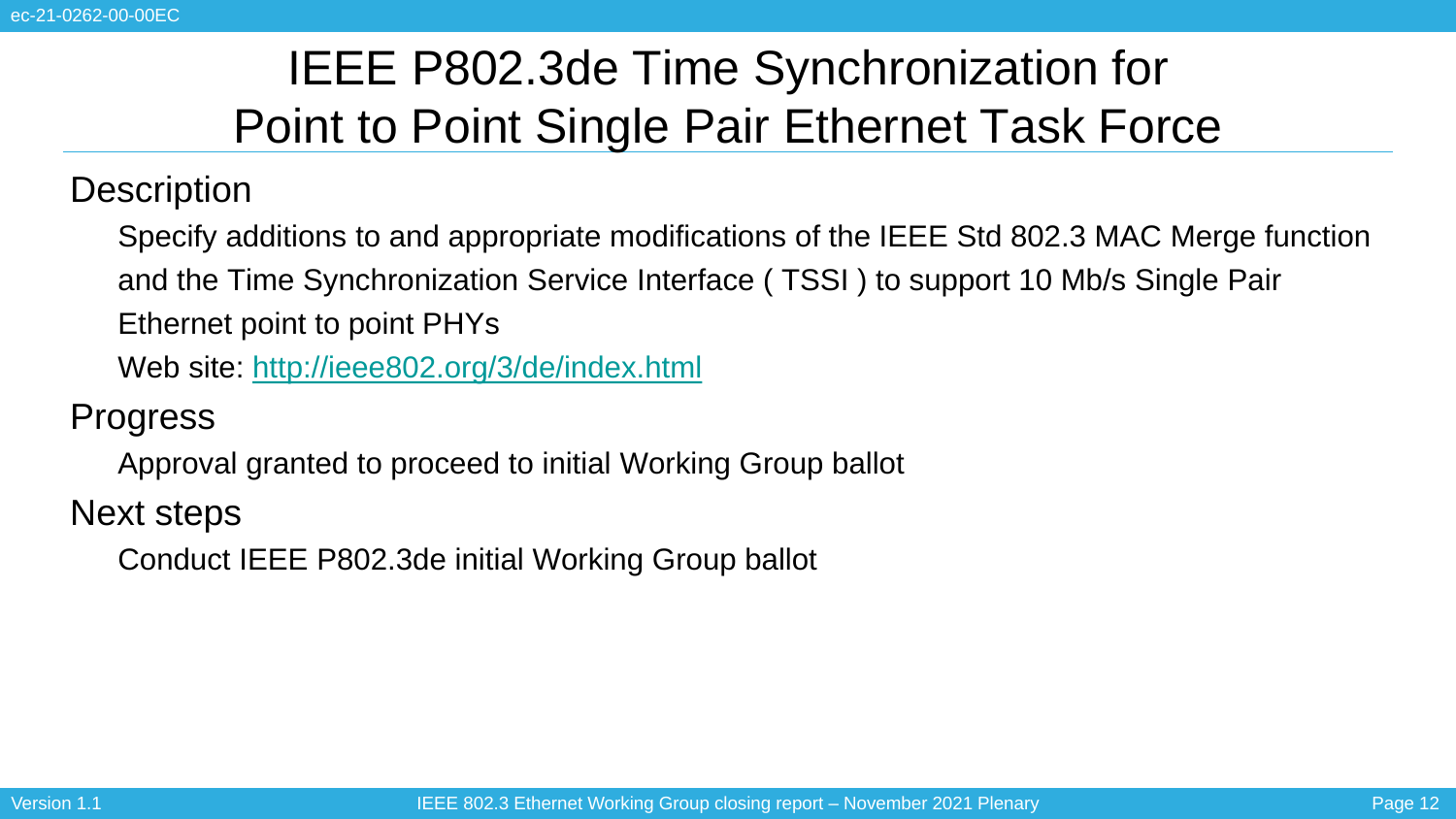# IEEE P802.3de Time Synchronization for Point to Point Single Pair Ethernet Task Force

**Description** 

• Specify additions to and appropriate modifications of the IEEE Std 802.3 MAC Merge function • and the Time Synchronization Service Interface ( TSSI ) to support 10 Mb/s Single Pair Ethernet point to point PHYs

• Web site:<http://ieee802.org/3/de/index.html>

**Progress** 

• Approval granted to proceed to initial Working Group ballot

Next steps

• Conduct IEEE P802.3de initial Working Group ballot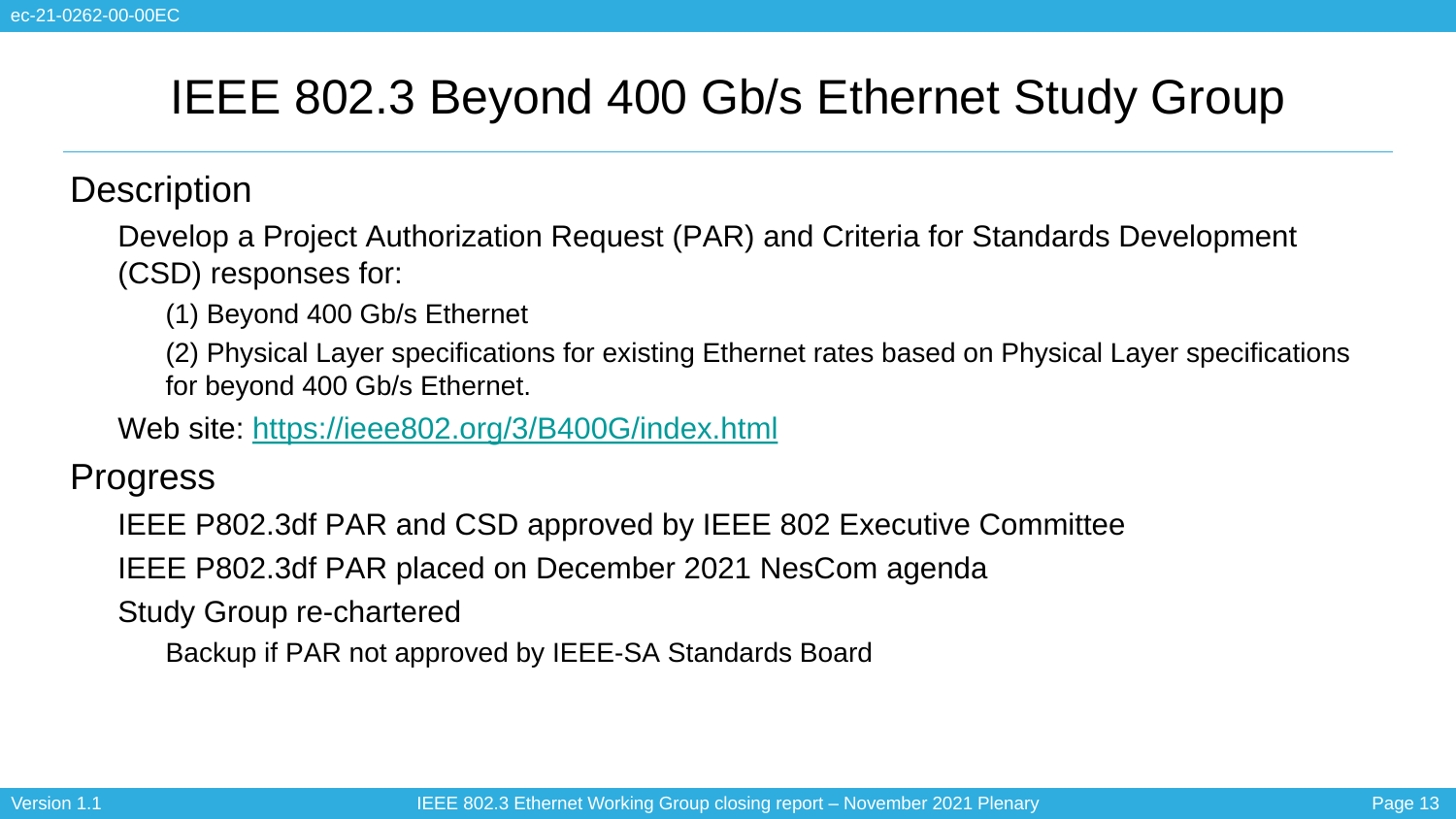### IEEE 802.3 Beyond 400 Gb/s Ethernet Study Group

**Description** 

• Develop a Project Authorization Request (PAR) and Criteria for Standards Development (CSD) responses for:

• (1) Beyond 400 Gb/s Ethernet

• (2) Physical Layer specifications for existing Ethernet rates based on Physical Layer specifications for beyond 400 Gb/s Ethernet.

• Web site:<https://ieee802.org/3/B400G/index.html>

**Progress** 

• IEEE P802.3df PAR and CSD approved by IEEE 802 Executive Committee

• IEEE P802.3df PAR placed on December 2021 NesCom agenda

Study Group re-chartered

• Backup if PAR not approved by IEEE-SA Standards Board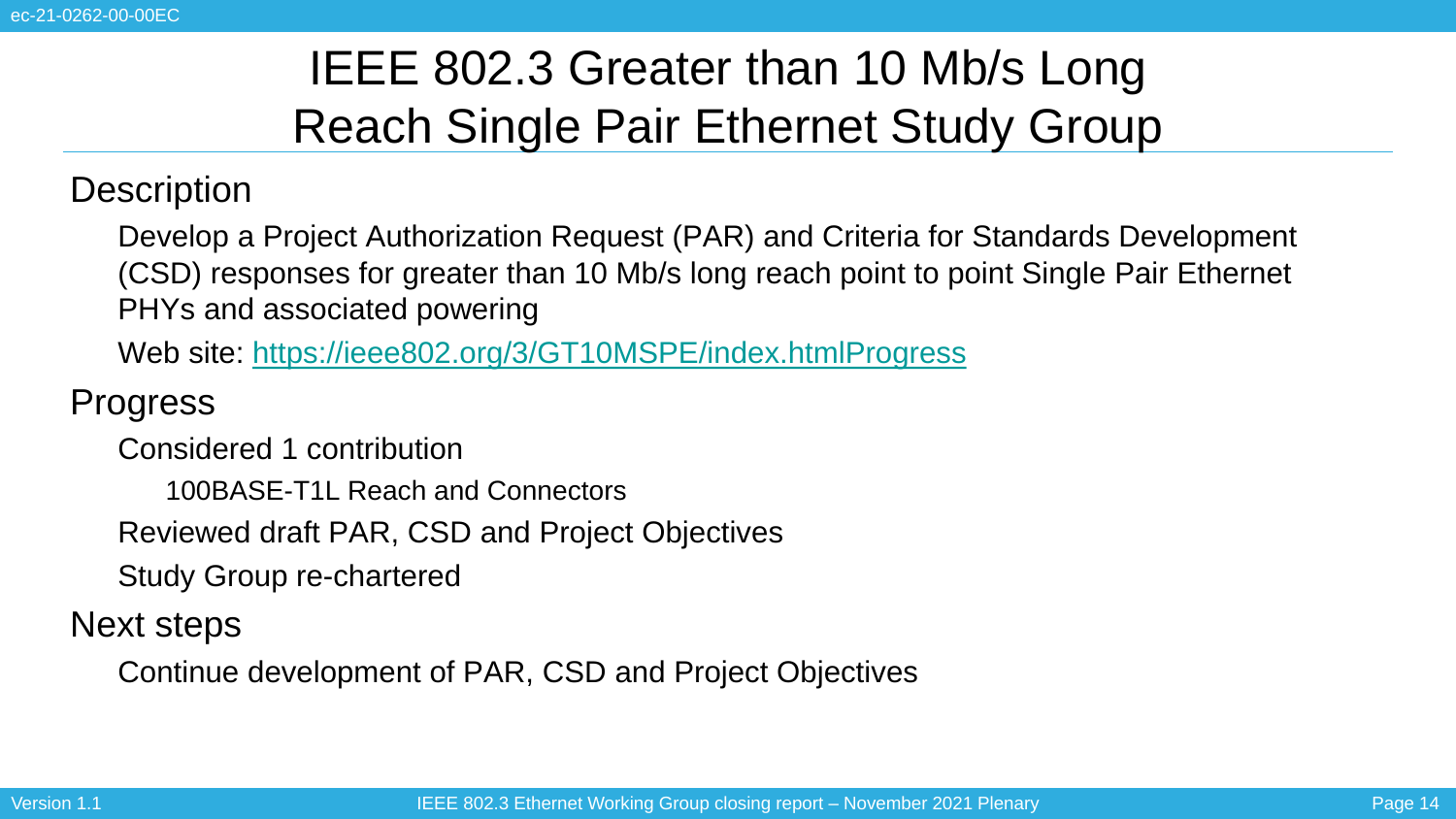# IEEE 802.3 Greater than 10 Mb/s Long Reach Single Pair Ethernet Study Group

### **Description**

• Develop a Project Authorization Request (PAR) and Criteria for Standards Development (CSD) responses for greater than 10 Mb/s long reach point to point Single Pair Ethernet PHYs and associated powering

• Web site:<https://ieee802.org/3/GT10MSPE/index.htmlProgress>

### **Progress**

• Considered 1 contribution

• 100BASE-T1L Reach and Connectors

• Reviewed draft PAR, CSD and Project Objectives

• Study Group re-chartered

Next steps

• Continue development of PAR, CSD and Project Objectives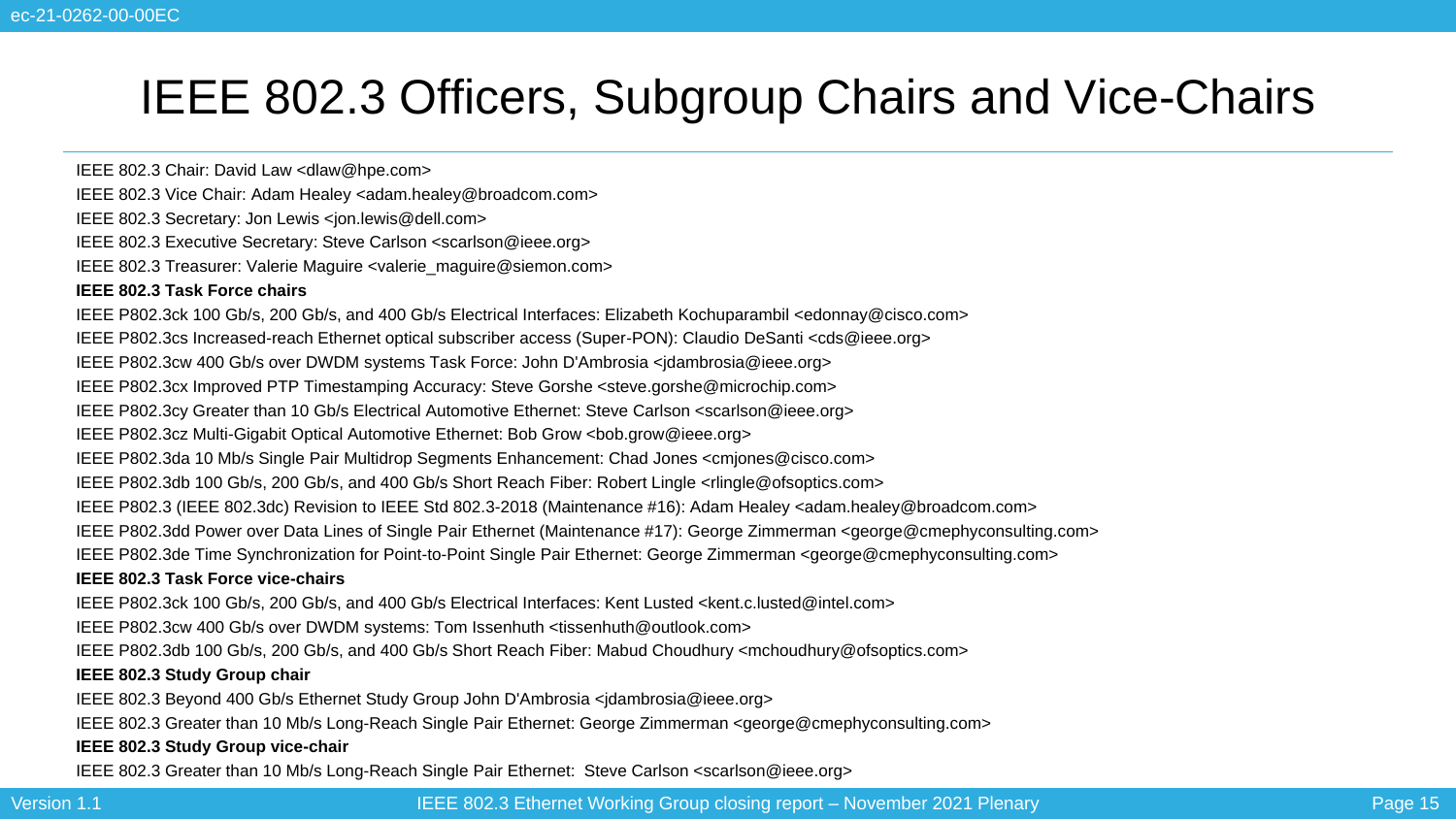### IEEE 802.3 Officers, Subgroup Chairs and Vice-Chairs

IEEE 802.3 Chair: David Law <dlaw@hpe.com>

- IEEE 802.3 Vice Chair: Adam Healey <adam.healey@broadcom.com>
- IEEE 802.3 Secretary: Jon Lewis <jon.lewis@dell.com>
- IEEE 802.3 Executive Secretary: Steve Carlson <scarlson@ieee.org>
- IEEE 802.3 Treasurer: Valerie Maguire <valerie\_maguire@siemon.com>

#### **IEEE 802.3 Task Force chairs**

IEEE P802.3ck 100 Gb/s, 200 Gb/s, and 400 Gb/s Electrical Interfaces: Elizabeth Kochuparambil <edonnay@cisco.com>

IEEE P802.3cs Increased-reach Ethernet optical subscriber access (Super-PON): Claudio DeSanti <cds@ieee.org>

IEEE P802.3cw 400 Gb/s over DWDM systems Task Force: John D'Ambrosia <jdambrosia@ieee.org>

IEEE P802.3cx Improved PTP Timestamping Accuracy: Steve Gorshe <steve.gorshe@microchip.com>

IEEE P802.3cy Greater than 10 Gb/s Electrical Automotive Ethernet: Steve Carlson <scarlson@ieee.org>

IEEE P802.3cz Multi-Gigabit Optical Automotive Ethernet: Bob Grow <bob.grow@ieee.org>

IEEE P802.3da 10 Mb/s Single Pair Multidrop Segments Enhancement: Chad Jones <cmjones@cisco.com>

IEEE P802.3db 100 Gb/s, 200 Gb/s, and 400 Gb/s Short Reach Fiber: Robert Lingle <rlingle@ofsoptics.com>

IEEE P802.3 (IEEE 802.3dc) Revision to IEEE Std 802.3-2018 (Maintenance #16): Adam Healey <adam.healey@broadcom.com>

IEEE P802.3dd Power over Data Lines of Single Pair Ethernet (Maintenance #17): George Zimmerman <george@cmephyconsulting.com>

IEEE P802.3de Time Synchronization for Point-to-Point Single Pair Ethernet: George Zimmerman <george@cmephyconsulting.com>

#### **IEEE 802.3 Task Force vice-chairs**

IEEE P802.3ck 100 Gb/s, 200 Gb/s, and 400 Gb/s Electrical Interfaces: Kent Lusted <kent.c.lusted@intel.com>

IEEE P802.3cw 400 Gb/s over DWDM systems: Tom Issenhuth <tissenhuth@outlook.com>

IEEE P802.3db 100 Gb/s, 200 Gb/s, and 400 Gb/s Short Reach Fiber: Mabud Choudhury <mchoudhury@ofsoptics.com>

#### **IEEE 802.3 Study Group chair**

IEEE 802.3 Beyond 400 Gb/s Ethernet Study Group John D'Ambrosia <jdambrosia@ieee.org>

IEEE 802.3 Greater than 10 Mb/s Long-Reach Single Pair Ethernet: George Zimmerman <george@cmephyconsulting.com>

#### **IEEE 802.3 Study Group vice-chair**

IEEE 802.3 Greater than 10 Mb/s Long-Reach Single Pair Ethernet: Steve Carlson <scarlson@ieee.org>

Version 1.1 **IEGE 802.3 Ethernet Working Group closing report** – November 2021 Plenary Page 15